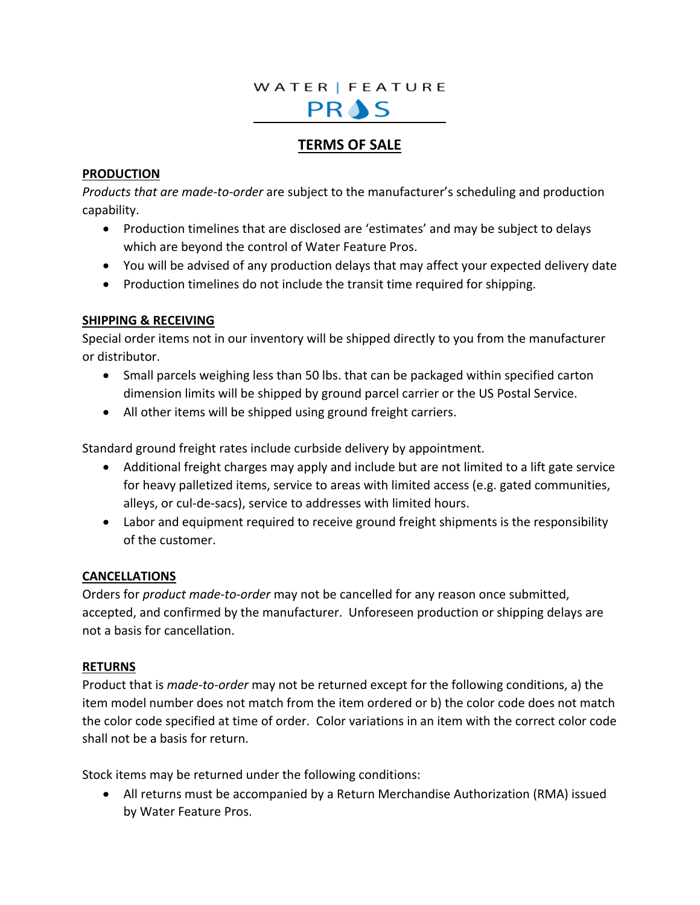### WATER | FEATURE

# PRAS

## **TERMS OF SALE**

#### **PRODUCTION**

*Products that are made-to-order* are subject to the manufacturer's scheduling and production capability.

- Production timelines that are disclosed are 'estimates' and may be subject to delays which are beyond the control of Water Feature Pros.
- You will be advised of any production delays that may affect your expected delivery date
- Production timelines do not include the transit time required for shipping.

#### **SHIPPING & RECEIVING**

Special order items not in our inventory will be shipped directly to you from the manufacturer or distributor.

- Small parcels weighing less than 50 lbs. that can be packaged within specified carton dimension limits will be shipped by ground parcel carrier or the US Postal Service.
- All other items will be shipped using ground freight carriers.

Standard ground freight rates include curbside delivery by appointment.

- Additional freight charges may apply and include but are not limited to a lift gate service for heavy palletized items, service to areas with limited access (e.g. gated communities, alleys, or cul-de-sacs), service to addresses with limited hours.
- Labor and equipment required to receive ground freight shipments is the responsibility of the customer.

#### **CANCELLATIONS**

Orders for *product made-to-order* may not be cancelled for any reason once submitted, accepted, and confirmed by the manufacturer. Unforeseen production or shipping delays are not a basis for cancellation.

#### **RETURNS**

Product that is *made-to-order* may not be returned except for the following conditions, a) the item model number does not match from the item ordered or b) the color code does not match the color code specified at time of order. Color variations in an item with the correct color code shall not be a basis for return.

Stock items may be returned under the following conditions:

• All returns must be accompanied by a Return Merchandise Authorization (RMA) issued by Water Feature Pros.